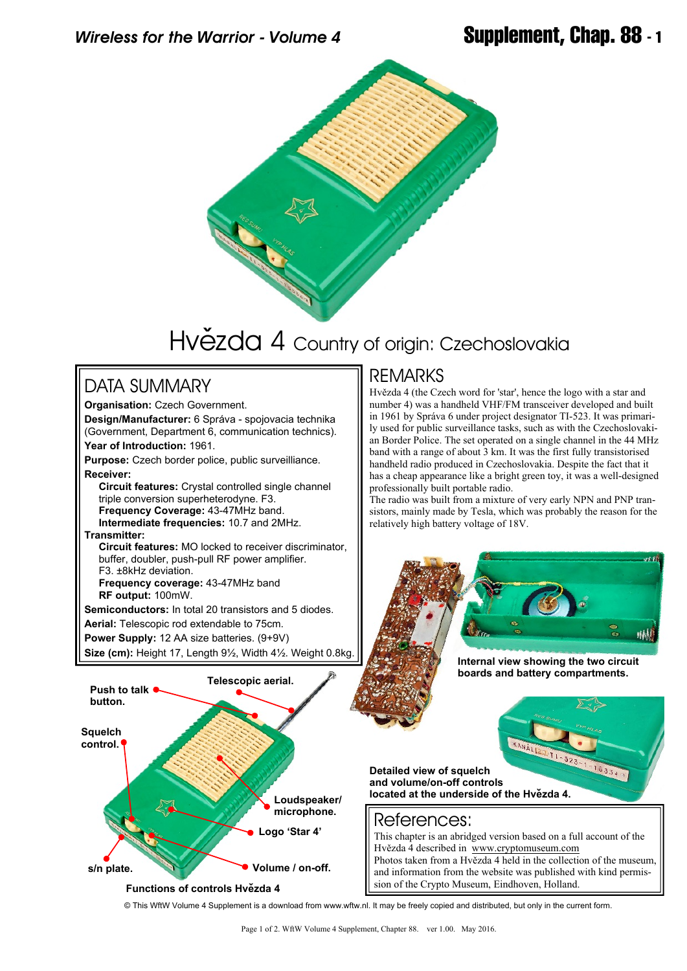

# Hvězda 4 Country of origin: Czechoslovakia

## DATA SUMMARY

**Organisation:** Czech Government. **Design/Manufacturer:** 6 Správa - spojovacia technika (Government, Department 6, communication technics). **Year of Introduction:** 1961. **Purpose:** Czech border police, public surveilliance. **Receiver:**

 **Circuit features:** Crystal controlled single channel triple conversion superheterodyne. F3.  **Frequency Coverage:** 43-47MHz band.

 **Intermediate frequencies:** 10.7 and 2MHz. **Transmitter:**

 **Circuit features:** MO locked to receiver discriminator, buffer, doubler, push-pull RF power amplifier. F3. ±8kHz deviation.

 **Frequency coverage:** 43-47MHz band  **RF output:** 100mW.

**Semiconductors:** In total 20 transistors and 5 diodes.

**Aerial:** Telescopic rod extendable to 75cm.

**Power Supply:** 12 AA size batteries. (9+9V)

**Size (cm):** Height 17, Length 9½, Width 4½. Weight 0.8kg.

### REMARKS

Hvězda 4 (the Czech word for 'star', hence the logo with a star and number 4) was a handheld VHF/FM transceiver developed and built in 1961 by Správa 6 under project designator TI-523. It was primarily used for public surveillance tasks, such as with the Czechoslovakian Border Police. The set operated on a single channel in the 44 MHz band with a range of about 3 km. It was the first fully transistorised handheld radio produced in Czechoslovakia. Despite the fact that it has a cheap appearance like a bright green toy, it was a well-designed professionally built portable radio.

The radio was built from a mixture of very early NPN and PNP transistors, mainly made by Tesla, which was probably the reason for the relatively high battery voltage of 18V.

# nah

**Internal view showing the two circuit boards and battery compartments.**

### References: This chapter is an abridged version based on a full account of the Hvězda 4 described in <www.cryptomuseum.com> Photos taken from a Hvězda 4 held in the collection of the museum, and information from the website was published with kind permission of the Crypto Museum, Eindhoven, Holland. **Push to talk button. Telescopic aerial. Loudspeaker/ microphone. Logo 'Star 4' Squelch control. s/n plate. Volume / on-off. Detailed view of squelch and volume/on-off controls** located at the underside of the Hvězda 4.

### **Functions of controls Hvězda 4**

© This WftW Volume 4 Supplement is a download from www.wftw.nl. It may be freely copied and distributed, but only in the current form.